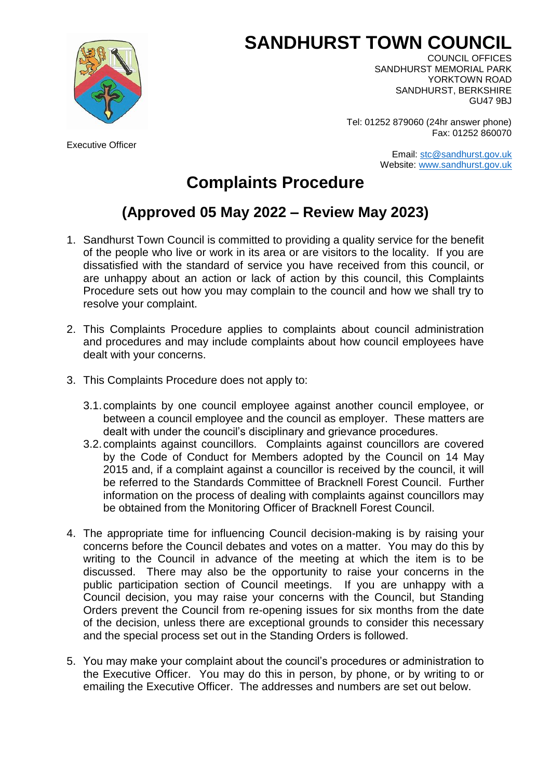## **SANDHURST TOWN COUNCIL**



Executive Officer

COUNCIL OFFICES SANDHURST MEMORIAL PARK YORKTOWN ROAD SANDHURST, BERKSHIRE GU47 9BJ

Tel: 01252 879060 (24hr answer phone) Fax: 01252 860070

> Email: [stc@sandhurst.gov.uk](mailto:stc@sandhurst.gov.uk) Website: [www.sandhurst.gov.uk](http://www.sandhurst.gov.uk/)

## **Complaints Procedure**

## **(Approved 05 May 2022 – Review May 2023)**

- 1. Sandhurst Town Council is committed to providing a quality service for the benefit of the people who live or work in its area or are visitors to the locality. If you are dissatisfied with the standard of service you have received from this council, or are unhappy about an action or lack of action by this council, this Complaints Procedure sets out how you may complain to the council and how we shall try to resolve your complaint.
- 2. This Complaints Procedure applies to complaints about council administration and procedures and may include complaints about how council employees have dealt with your concerns.
- 3. This Complaints Procedure does not apply to:
	- 3.1.complaints by one council employee against another council employee, or between a council employee and the council as employer. These matters are dealt with under the council's disciplinary and grievance procedures.
	- 3.2.complaints against councillors. Complaints against councillors are covered by the Code of Conduct for Members adopted by the Council on 14 May 2015 and, if a complaint against a councillor is received by the council, it will be referred to the Standards Committee of Bracknell Forest Council. Further information on the process of dealing with complaints against councillors may be obtained from the Monitoring Officer of Bracknell Forest Council.
- 4. The appropriate time for influencing Council decision-making is by raising your concerns before the Council debates and votes on a matter. You may do this by writing to the Council in advance of the meeting at which the item is to be discussed. There may also be the opportunity to raise your concerns in the public participation section of Council meetings. If you are unhappy with a Council decision, you may raise your concerns with the Council, but Standing Orders prevent the Council from re-opening issues for six months from the date of the decision, unless there are exceptional grounds to consider this necessary and the special process set out in the Standing Orders is followed.
- 5. You may make your complaint about the council's procedures or administration to the Executive Officer. You may do this in person, by phone, or by writing to or emailing the Executive Officer. The addresses and numbers are set out below.